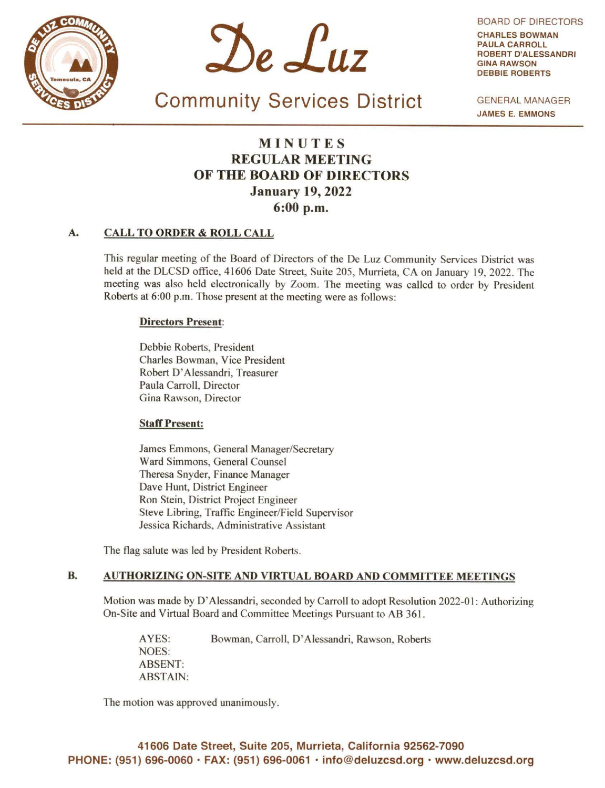



BOARD OF DIRECTORS CHARLES **BOWMAN PAULA** CARROLL ROBERT D'ALESSANDRI **GINA RAWSON**  DEBBIE ROBERTS

Community Services District

GENERAL MANAGER **JAMES** E. **EMMONS** 

# **MINUTES REGULAR MEETING OF THE BOARD OF DIRECTORS January 19, 2022 6:00 p.m.**

# **A. CALL TO ORDER** & **ROLL CALL**

This regular meeting of the Board of Directors of the De Luz Community Services District was held at the DLCSD office, 41606 Date Street, Suite 205, Murrieta, CA on January 19, 2022. The meeting was also held electronically by Zoom. The meeting was called to order by President Roberts at 6:00 p.m. Those present at the meeting were as follows:

# **Directors Present:**

Debbie Roberts, President Charles Bowman, Vice President Robert D' Alessandri, Treasurer Paula Carroll, Director Gina Rawson, Director

# **Staff Present:**

James Emmons, General Manager/Secretary Ward Simmons, General Counsel Theresa Snyder, Finance Manager Dave Hunt, District Engineer Ron Stein, District Project Engineer Steve Libring, Traffic Engineer/Field Supervisor Jessica Richards, Administrative Assistant

The flag salute was led by President Roberts.

# **B. AUTHORIZING ON-SITE AND VIRTUAL BOARD AND COMMITTEE MEETINGS**

Motion was made by D'Alessandri, seconded by Carroll to adopt Resolution 2022-01: Authorizing On-Site and Virtual Board and Committee Meetings Pursuant to AB 361.

AYES: Bowman, Carroll, D' Alessandri, Rawson, Roberts NOES: ABSENT: ABSTAIN:

The motion was approved unanimously.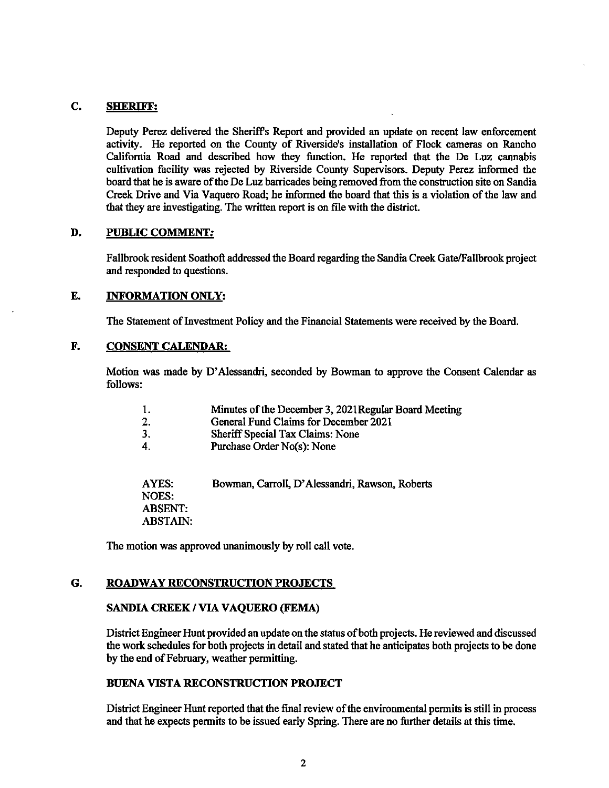# C. **SHERIFF:**

Deputy Perez delivered the Sheriff's Report and provided an update on recent law enforcement activity. He reported on the County of Riverside's installation of Flock cameras on Rancho California Road and described how they function. He reported that the De Luz cannabis cultivation facility was rejected by Riverside County Supervisors. Deputy Perez infonned the board that he is aware of the De Luz barricades being removed from the construction site on Sandia Creek Drive and Via Vaquero Road; he informed the board that this is a violation of the law and that they are investigating. The written report is on file with the district.

### **D. PUBLIC COMMENT:**

Fallbrook resident Soathoft addressed the Board regarding the Sandia Creek Gate/Fallbrook project and responded to questions.

#### **E. INFORMATION ONLY:**

The Statement of Investment Policy and the Financial Statements were received by the Board.

### **F. CONSENT CALENDAR:**

Motion was made by D'Alessandri, seconded by Bowman to approve the Consent Calendar as follows:

| 1. | Minutes of the December 3, 2021 Regular Board Meeting |  |
|----|-------------------------------------------------------|--|
|----|-------------------------------------------------------|--|

- 2. General Fund Claims for December 2021<br>3. Sheriff Special Tax Claims: None
- 3. Sheriff Special Tax Claims: None<br>4. Purchase Order No(s): None
- Purchase Order No(s): None

A YES: Bowman, Carroll, D' Alessandri, Rawson, Roberts NOES: ABSENT: ABSTAIN:

The motion was approved unanimously by roll call vote.

# **G. ROADWAY RECONSTRUCTION PROJECTS**

### **SANDIA CREEK** I **VIA VAQUERO (FEMA)**

District Engineer Hunt provided an update on the status of both projects. He reviewed and discussed the work schedules for both projects in detail and stated that he anticipates both projects to be done by the end of February, weather pennitting.

# **BUENA VISTA RECONSTRUCTION PROJECT**

District Engineer Hunt reported that the final review of the environmental pennits is still in process and that he expects pennits to be issued early Spring. There are no further details at this time.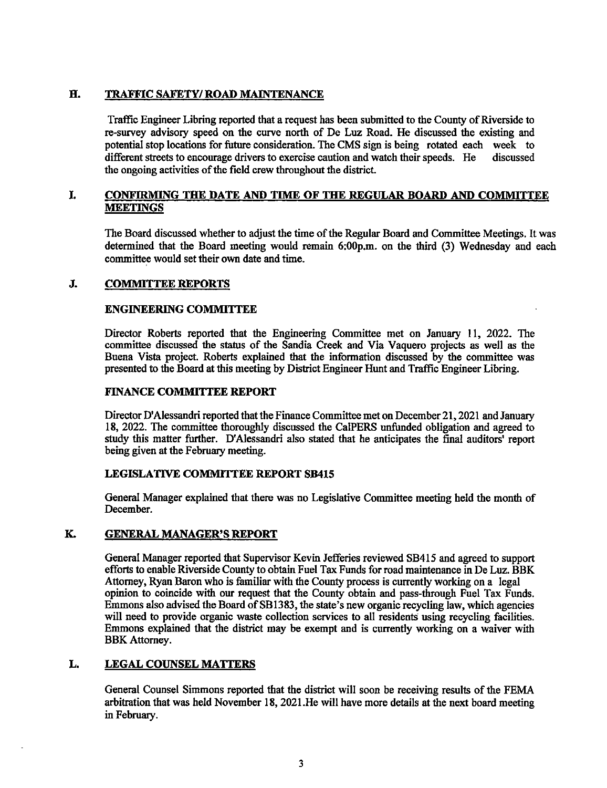# **H. TRAFFIC SAFETY/ ROAD MAINTENANCE**

Traffic Engineer Libring reported that a request has been submitted to the County of Riverside to re-survey advisocy speed on the curve north of De Luz Road. He discussed the existing and potential stop locations for future consideration. The CMS sign is being rotated each week to discussed different streets to encourage drivers to exercise caution and watch their speeds. He discussed different streets to encourage drivers to exercise caution and watch their speeds. He the ongoing activities of the field crew throughout the district.

# **L CONFIRMING THE DATE AND TIME OF THE REGULAR BOARD AND COMMITTEE MEETINGS**

The Board discussed whether to adjust the time of the Regular Board and Committee Meetings. It was determined that the Board meeting would remain 6:00p.m. on the third (3) Wednesday and each committee would set their own date and time.

# **J. COMMITTEE REPORTS**

# **ENGINEERING COMMITTEE**

Director Roberts reported that the Engineering Committee met on January 11, 2022. The committee discussed the status of the Sandia Creek and Via Vaquero projects as well as the Buena Vista project. Roberts explained that the information discussed by the committee was presented to the Board at this meeting by District Engineer Hunt and Traffic Engineer Libring.

# **FINANCE COMMITTEE REPORT**

Director D'Alessandri reported that the Finance Committee met on December 21, 2021 and January 18, 2022. The committee thoroughly discussed the Ca!PERS unfunded obligation and agreed to study this matter further. D'Alessandri also stated that he anticipates the final auditors' report being given at the February meeting.

# **LEGISLATIVE COMMITTEE REPORT SB415**

General Manager explained that there was no Legislative Committee meeting held the month of December.

# **K. GENERAL MANAGER'S REPORT**

General Manager reported that Supervisor Kevin Jefferies reviewed SB415 and agreed to support efforts to enable Riverside County to obtain Fuel Tax Funds for road maintenance in De Luz. BBK Attorney, Ryan Baron who is familiar with the County process is currently working on a legal opinion to coincide with our request that the County obtain and pass-through Fuel Tax Funds. Emmons also advised the Board of SB 1383, the state's new organic recycling law, which agencies will need to provide organic waste collection services to all residents using recycling facilities. Emmons explained that the district may be exempt and is currently working on a waiver with BBK Attorney.

# **L. LEGAL COUNSEL MATTERS**

General Counsel Simmons reported that the district will soon be receiving results of the FEMA arbitration that was held November 18, 2021.He will have more details at the next board meeting in February.